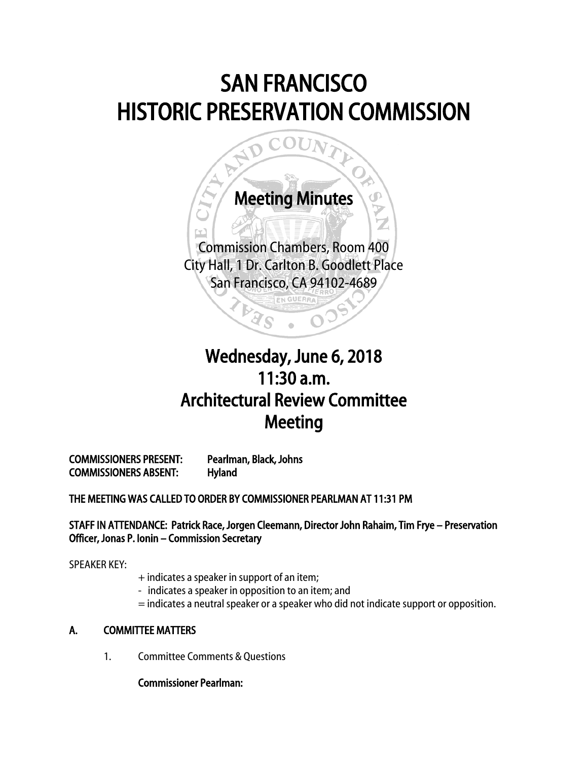# SAN FRANCISCO HISTORIC PRESERVATION COMMISSION



## j Wednesday, June 6, 2018 11:30 a.m. Architectural Review Committee Meeting

COMMISSIONERS PRESENT: Pearlman, Black, Johns COMMISSIONERS ABSENT: Hyland

THE MEETING WAS CALLED TO ORDER BY COMMISSIONER PEARLMAN AT 11:31 PM

STAFF IN ATTENDANCE: Patrick Race, Jorgen Cleemann, Director John Rahaim, Tim Frye – Preservation Officer, Jonas P. Ionin – Commission Secretary

SPEAKER KEY:

- + indicates a speaker in support of an item;
- indicates a speaker in opposition to an item; and
- = indicates a neutral speaker or a speaker who did not indicate support or opposition.

### A. COMMITTEE MATTERS

1. Committee Comments & Questions

Commissioner Pearlman: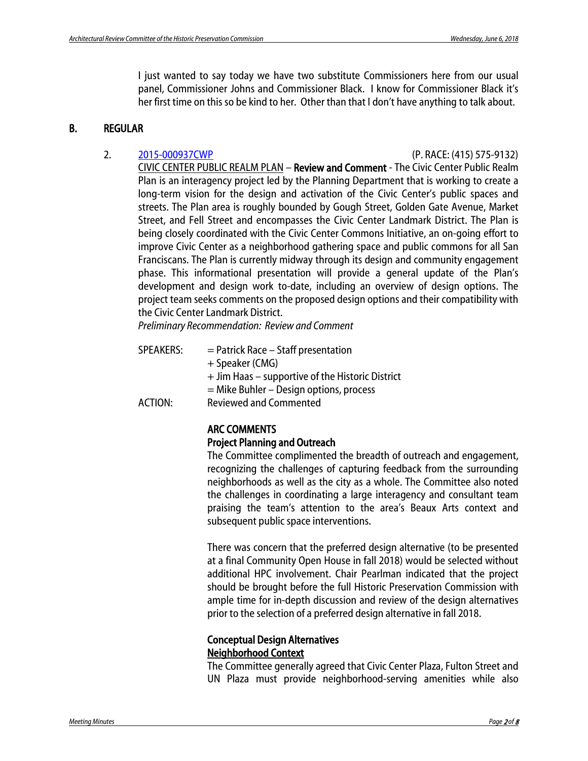I just wanted to say today we have two substitute Commissioners here from our usual panel, Commissioner Johns and Commissioner Black. I know for Commissioner Black it's her first time on this so be kind to her. Other than that I don't have anything to talk about.

#### B. REGULAR

2. [2015-000937CWP](http://commissions.sfplanning.org/hpcpackets/2015-000937CWP.pdf) (P. RACE: (415) 575-9132) CIVIC CENTER PUBLIC REALM PLAN – Review and Comment - The Civic Center Public Realm Plan is an interagency project led by the Planning Department that is working to create a long-term vision for the design and activation of the Civic Center's public spaces and streets. The Plan area is roughly bounded by Gough Street, Golden Gate Avenue, Market Street, and Fell Street and encompasses the Civic Center Landmark District. The Plan is being closely coordinated with the Civic Center Commons Initiative, an on-going effort to improve Civic Center as a neighborhood gathering space and public commons for all San Franciscans. The Plan is currently midway through its design and community engagement phase. This informational presentation will provide a general update of the Plan's development and design work to-date, including an overview of design options. The project team seeks comments on the proposed design options and their compatibility with the Civic Center Landmark District.

*Preliminary Recommendation: Review and Comment*

| <b>SPEAKERS:</b> | $=$ Patrick Race $-$ Staff presentation          |
|------------------|--------------------------------------------------|
|                  | + Speaker (CMG)                                  |
|                  | + Jim Haas – supportive of the Historic District |
|                  | $=$ Mike Buhler – Design options, process        |
| ACTION:          | <b>Reviewed and Commented</b>                    |

### ARC COMMENTS

#### Project Planning and Outreach

The Committee complimented the breadth of outreach and engagement, recognizing the challenges of capturing feedback from the surrounding neighborhoods as well as the city as a whole. The Committee also noted the challenges in coordinating a large interagency and consultant team praising the team's attention to the area's Beaux Arts context and subsequent public space interventions.

There was concern that the preferred design alternative (to be presented at a final Community Open House in fall 2018) would be selected without additional HPC involvement. Chair Pearlman indicated that the project should be brought before the full Historic Preservation Commission with ample time for in-depth discussion and review of the design alternatives prior to the selection of a preferred design alternative in fall 2018.

#### Conceptual Design Alternatives Neighborhood Context

The Committee generally agreed that Civic Center Plaza, Fulton Street and UN Plaza must provide neighborhood-serving amenities while also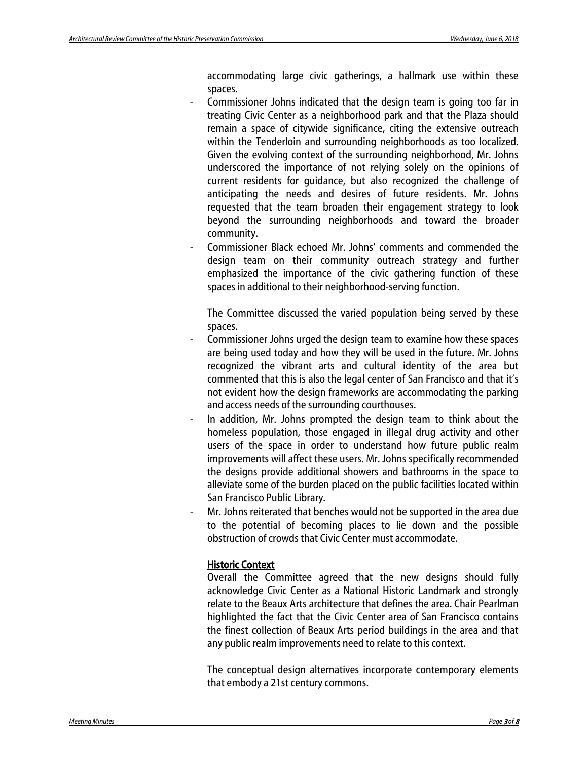accommodating large civic gatherings, a hallmark use within these spaces.

- Commissioner Johns indicated that the design team is going too far in treating Civic Center as a neighborhood park and that the Plaza should remain a space of citywide significance, citing the extensive outreach within the Tenderloin and surrounding neighborhoods as too localized. Given the evolving context of the surrounding neighborhood, Mr. Johns underscored the importance of not relying solely on the opinions of current residents for guidance, but also recognized the challenge of anticipating the needs and desires of future residents. Mr. Johns requested that the team broaden their engagement strategy to look beyond the surrounding neighborhoods and toward the broader community.
- Commissioner Black echoed Mr. Johns' comments and commended the design team on their community outreach strategy and further emphasized the importance of the civic gathering function of these spaces in additional to their neighborhood-serving function.

The Committee discussed the varied population being served by these spaces.

- Commissioner Johns urged the design team to examine how these spaces are being used today and how they will be used in the future. Mr. Johns recognized the vibrant arts and cultural identity of the area but commented that this is also the legal center of San Francisco and that it's not evident how the design frameworks are accommodating the parking and access needs of the surrounding courthouses.
- In addition, Mr. Johns prompted the design team to think about the homeless population, those engaged in illegal drug activity and other users of the space in order to understand how future public realm improvements will affect these users. Mr. Johns specifically recommended the designs provide additional showers and bathrooms in the space to alleviate some of the burden placed on the public facilities located within San Francisco Public Library.
- Mr. Johns reiterated that benches would not be supported in the area due to the potential of becoming places to lie down and the possible obstruction of crowds that Civic Center must accommodate.

#### Historic Context

Overall the Committee agreed that the new designs should fully acknowledge Civic Center as a National Historic Landmark and strongly relate to the Beaux Arts architecture that defines the area. Chair Pearlman highlighted the fact that the Civic Center area of San Francisco contains the finest collection of Beaux Arts period buildings in the area and that any public realm improvements need to relate to this context.

The conceptual design alternatives incorporate contemporary elements that embody a 21st century commons.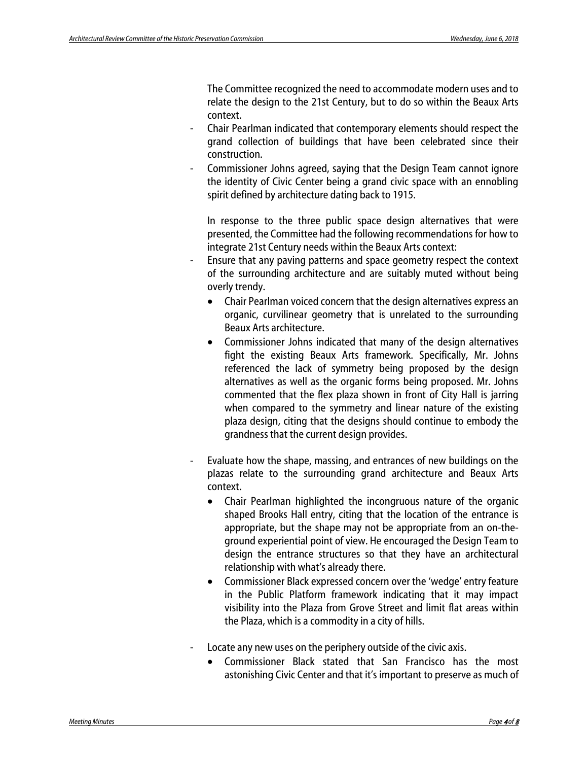The Committee recognized the need to accommodate modern uses and to relate the design to the 21st Century, but to do so within the Beaux Arts context.

- Chair Pearlman indicated that contemporary elements should respect the grand collection of buildings that have been celebrated since their construction.
- Commissioner Johns agreed, saying that the Design Team cannot ignore the identity of Civic Center being a grand civic space with an ennobling spirit defined by architecture dating back to 1915.

In response to the three public space design alternatives that were presented, the Committee had the following recommendations for how to integrate 21st Century needs within the Beaux Arts context:

- Ensure that any paving patterns and space geometry respect the context of the surrounding architecture and are suitably muted without being overly trendy.
	- Chair Pearlman voiced concern that the design alternatives express an organic, curvilinear geometry that is unrelated to the surrounding Beaux Arts architecture.
	- Commissioner Johns indicated that many of the design alternatives fight the existing Beaux Arts framework. Specifically, Mr. Johns referenced the lack of symmetry being proposed by the design alternatives as well as the organic forms being proposed. Mr. Johns commented that the flex plaza shown in front of City Hall is jarring when compared to the symmetry and linear nature of the existing plaza design, citing that the designs should continue to embody the grandness that the current design provides.
- Evaluate how the shape, massing, and entrances of new buildings on the plazas relate to the surrounding grand architecture and Beaux Arts context.
	- Chair Pearlman highlighted the incongruous nature of the organic shaped Brooks Hall entry, citing that the location of the entrance is appropriate, but the shape may not be appropriate from an on-theground experiential point of view. He encouraged the Design Team to design the entrance structures so that they have an architectural relationship with what's already there.
	- Commissioner Black expressed concern over the 'wedge' entry feature in the Public Platform framework indicating that it may impact visibility into the Plaza from Grove Street and limit flat areas within the Plaza, which is a commodity in a city of hills.
- Locate any new uses on the periphery outside of the civic axis.
	- Commissioner Black stated that San Francisco has the most astonishing Civic Center and that it's important to preserve as much of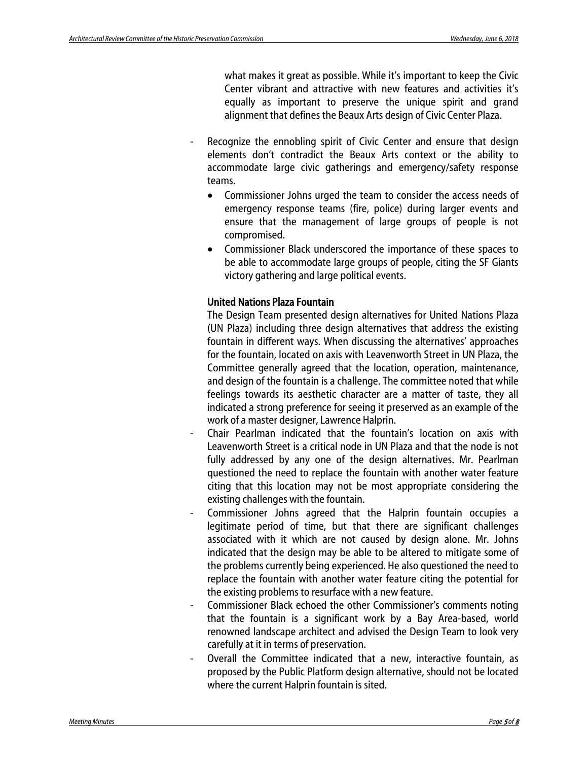what makes it great as possible. While it's important to keep the Civic Center vibrant and attractive with new features and activities it's equally as important to preserve the unique spirit and grand alignment that defines the Beaux Arts design of Civic Center Plaza.

- Recognize the ennobling spirit of Civic Center and ensure that design elements don't contradict the Beaux Arts context or the ability to accommodate large civic gatherings and emergency/safety response teams.
	- Commissioner Johns urged the team to consider the access needs of emergency response teams (fire, police) during larger events and ensure that the management of large groups of people is not compromised.
	- Commissioner Black underscored the importance of these spaces to be able to accommodate large groups of people, citing the SF Giants victory gathering and large political events.

#### United Nations Plaza Fountain

The Design Team presented design alternatives for United Nations Plaza (UN Plaza) including three design alternatives that address the existing fountain in different ways. When discussing the alternatives' approaches for the fountain, located on axis with Leavenworth Street in UN Plaza, the Committee generally agreed that the location, operation, maintenance, and design of the fountain is a challenge. The committee noted that while feelings towards its aesthetic character are a matter of taste, they all indicated a strong preference for seeing it preserved as an example of the work of a master designer, Lawrence Halprin.

- Chair Pearlman indicated that the fountain's location on axis with Leavenworth Street is a critical node in UN Plaza and that the node is not fully addressed by any one of the design alternatives. Mr. Pearlman questioned the need to replace the fountain with another water feature citing that this location may not be most appropriate considering the existing challenges with the fountain.
- Commissioner Johns agreed that the Halprin fountain occupies a legitimate period of time, but that there are significant challenges associated with it which are not caused by design alone. Mr. Johns indicated that the design may be able to be altered to mitigate some of the problems currently being experienced. He also questioned the need to replace the fountain with another water feature citing the potential for the existing problems to resurface with a new feature.
- Commissioner Black echoed the other Commissioner's comments noting that the fountain is a significant work by a Bay Area-based, world renowned landscape architect and advised the Design Team to look very carefully at it in terms of preservation.
- Overall the Committee indicated that a new, interactive fountain, as proposed by the Public Platform design alternative, should not be located where the current Halprin fountain is sited.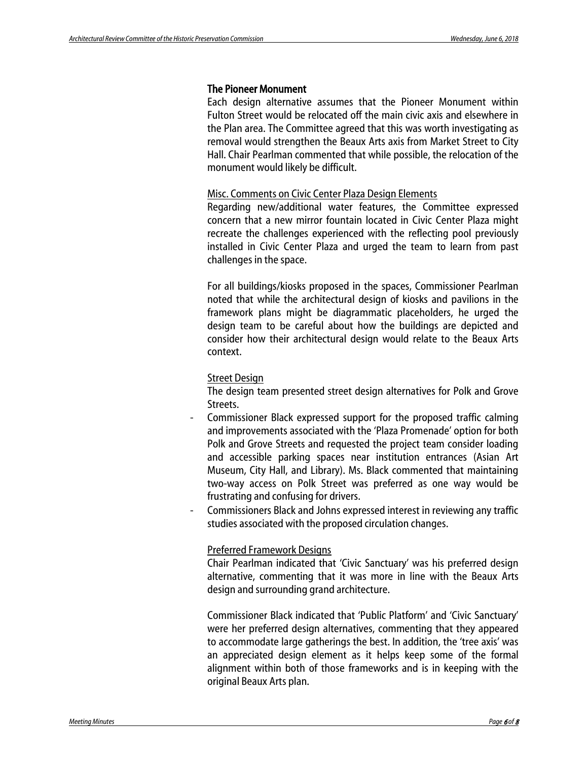#### The Pioneer Monument

Each design alternative assumes that the Pioneer Monument within Fulton Street would be relocated off the main civic axis and elsewhere in the Plan area. The Committee agreed that this was worth investigating as removal would strengthen the Beaux Arts axis from Market Street to City Hall. Chair Pearlman commented that while possible, the relocation of the monument would likely be difficult.

#### Misc. Comments on Civic Center Plaza Design Elements

Regarding new/additional water features, the Committee expressed concern that a new mirror fountain located in Civic Center Plaza might recreate the challenges experienced with the reflecting pool previously installed in Civic Center Plaza and urged the team to learn from past challenges in the space.

For all buildings/kiosks proposed in the spaces, Commissioner Pearlman noted that while the architectural design of kiosks and pavilions in the framework plans might be diagrammatic placeholders, he urged the design team to be careful about how the buildings are depicted and consider how their architectural design would relate to the Beaux Arts context.

#### Street Design

The design team presented street design alternatives for Polk and Grove Streets.

- Commissioner Black expressed support for the proposed traffic calming and improvements associated with the 'Plaza Promenade' option for both Polk and Grove Streets and requested the project team consider loading and accessible parking spaces near institution entrances (Asian Art Museum, City Hall, and Library). Ms. Black commented that maintaining two-way access on Polk Street was preferred as one way would be frustrating and confusing for drivers.
- Commissioners Black and Johns expressed interest in reviewing any traffic studies associated with the proposed circulation changes.

#### Preferred Framework Designs

Chair Pearlman indicated that 'Civic Sanctuary' was his preferred design alternative, commenting that it was more in line with the Beaux Arts design and surrounding grand architecture.

Commissioner Black indicated that 'Public Platform' and 'Civic Sanctuary' were her preferred design alternatives, commenting that they appeared to accommodate large gatherings the best. In addition, the 'tree axis' was an appreciated design element as it helps keep some of the formal alignment within both of those frameworks and is in keeping with the original Beaux Arts plan.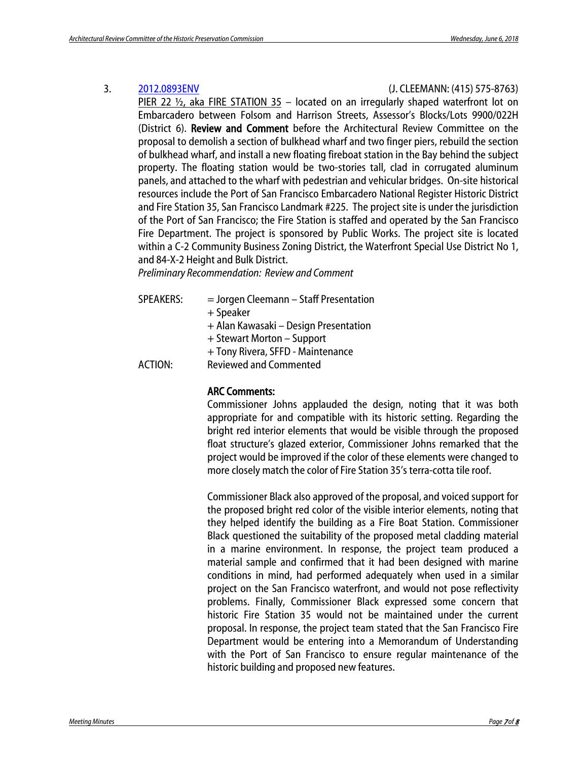#### 3. [2012.0893ENV](http://commissions.sfplanning.org/hpcpackets/2012-0893ENV.pdf) (J. CLEEMANN: (415) 575-8763)

PIER 22  $\frac{1}{2}$ , aka FIRE STATION 35 – located on an irregularly shaped waterfront lot on Embarcadero between Folsom and Harrison Streets, Assessor's Blocks/Lots 9900/022H (District 6). Review and Comment before the Architectural Review Committee on the proposal to demolish a section of bulkhead wharf and two finger piers, rebuild the section of bulkhead wharf, and install a new floating fireboat station in the Bay behind the subject property. The floating station would be two-stories tall, clad in corrugated aluminum panels, and attached to the wharf with pedestrian and vehicular bridges. On-site historical resources include the Port of San Francisco Embarcadero National Register Historic District and Fire Station 35, San Francisco Landmark #225. The project site is under the jurisdiction of the Port of San Francisco; the Fire Station is staffed and operated by the San Francisco Fire Department. The project is sponsored by Public Works. The project site is located within a C-2 Community Business Zoning District, the Waterfront Special Use District No 1, and 84-X-2 Height and Bulk District.

*Preliminary Recommendation: Review and Comment*

| SPEAKERS:      | $=$ Jorgen Cleemann – Staff Presentation |
|----------------|------------------------------------------|
|                | + Speaker                                |
|                | + Alan Kawasaki - Design Presentation    |
|                | + Stewart Morton – Support               |
|                | + Tony Rivera, SFFD - Maintenance        |
| <b>ACTION:</b> | <b>Reviewed and Commented</b>            |
|                |                                          |

#### ARC Comments:

Commissioner Johns applauded the design, noting that it was both appropriate for and compatible with its historic setting. Regarding the bright red interior elements that would be visible through the proposed float structure's glazed exterior, Commissioner Johns remarked that the project would be improved if the color of these elements were changed to more closely match the color of Fire Station 35's terra-cotta tile roof.

Commissioner Black also approved of the proposal, and voiced support for the proposed bright red color of the visible interior elements, noting that they helped identify the building as a Fire Boat Station. Commissioner Black questioned the suitability of the proposed metal cladding material in a marine environment. In response, the project team produced a material sample and confirmed that it had been designed with marine conditions in mind, had performed adequately when used in a similar project on the San Francisco waterfront, and would not pose reflectivity problems. Finally, Commissioner Black expressed some concern that historic Fire Station 35 would not be maintained under the current proposal. In response, the project team stated that the San Francisco Fire Department would be entering into a Memorandum of Understanding with the Port of San Francisco to ensure regular maintenance of the historic building and proposed new features.